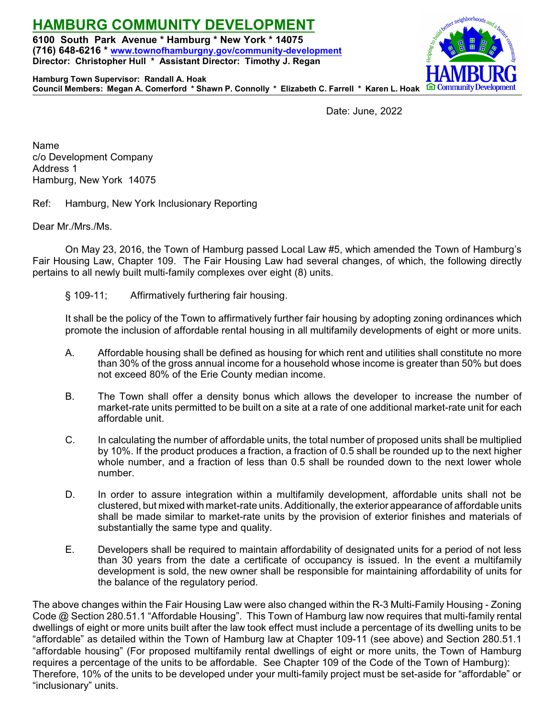**6100 South Park Avenue \* Hamburg \* New York \* 14075 (716) 648-6216 \* [www.townofhamburgny.gov/community-development](http://www.townofhamburgny.com/cdbg) Director: Christopher Hull \* Assistant Director: Timothy J. Regan**



**Hamburg Town Supervisor: Randall A. Hoak Council Members: Megan A. Comerford \* Shawn P. Connolly \* Elizabeth C. Farrell \* Karen L. Hoak**

**HAMBURG COMMUNITY DEVELOPMENT**

Date: June, 2022

Name c/o Development Company Address 1 Hamburg, New York 14075

Ref: Hamburg, New York Inclusionary Reporting

Dear Mr./Mrs./Ms.

On May 23, 2016, the Town of Hamburg passed Local Law #5, which amended the Town of Hamburg's Fair Housing Law, Chapter 109. The Fair Housing Law had several changes, of which, the following directly pertains to all newly built multi-family complexes over eight (8) units.

§ 109-11; Affirmatively furthering fair housing.

It shall be the policy of the Town to affirmatively further fair housing by adopting zoning ordinances which promote the inclusion of affordable rental housing in all multifamily developments of eight or more units.

- A. Affordable housing shall be defined as housing for which rent and utilities shall constitute no more than 30% of the gross annual income for a household whose income is greater than 50% but does not exceed 80% of the Erie County median income.
- B. The Town shall offer a density bonus which allows the developer to increase the number of market-rate units permitted to be built on a site at a rate of one additional market-rate unit for each affordable unit.
- C. In calculating the number of affordable units, the total number of proposed units shall be multiplied by 10%. If the product produces a fraction, a fraction of 0.5 shall be rounded up to the next higher whole number, and a fraction of less than 0.5 shall be rounded down to the next lower whole number.
- D. In order to assure integration within a multifamily development, affordable units shall not be clustered, but mixed with market-rate units. Additionally, the exterior appearance of affordable units shall be made similar to market-rate units by the provision of exterior finishes and materials of substantially the same type and quality.
- E. Developers shall be required to maintain affordability of designated units for a period of not less than 30 years from the date a certificate of occupancy is issued. In the event a multifamily development is sold, the new owner shall be responsible for maintaining affordability of units for the balance of the regulatory period.

The above changes within the Fair Housing Law were also changed within the R-3 Multi-Family Housing - Zoning Code @ Section 280.51.1 "Affordable Housing". This Town of Hamburg law now requires that multi-family rental dwellings of eight or more units built after the law took effect must include a percentage of its dwelling units to be "affordable" as detailed within the Town of Hamburg law at Chapter 109-11 (see above) and Section 280.51.1 "affordable housing" (For proposed multifamily rental dwellings of eight or more units, the Town of Hamburg requires a percentage of the units to be affordable. See Chapter 109 of the Code of the Town of Hamburg): Therefore, 10% of the units to be developed under your multi-family project must be set-aside for "affordable" or "inclusionary" units.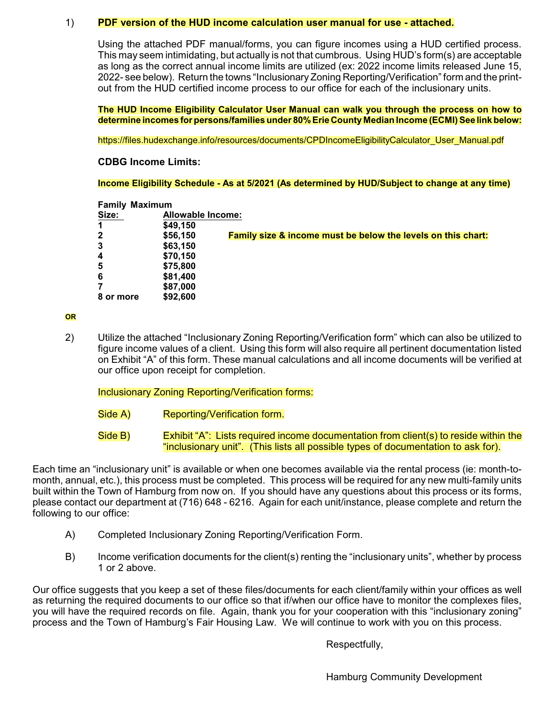### 1) **PDF version of the HUD income calculation user manual for use - attached.**

Using the attached PDF manual/forms, you can figure incomes using a HUD certified process. This may seem intimidating, but actually is not that cumbrous. Using HUD's form(s) are acceptable as long as the correct annual income limits are utilized (ex: 2022 income limits released June 15, 2022- see below). Return the towns "Inclusionary Zoning Reporting/Verification" form and the printout from the HUD certified income process to our office for each of the inclusionary units.

**The HUD Income Eligibility Calculator User Manual can walk you through the process on how to determine incomes for persons/families under 80%Erie County Median Income (ECMI) See link below:**

https://files.hudexchange.info/resources/documents/CPDIncomeEligibilityCalculator\_User\_Manual.pdf

## **CDBG Income Limits:**

**Income Eligibility Schedule - As at 5/2021 (As determined by HUD/Subject to change at any time)**

### **Family Maximum**

| Size:            | Allowable Income: |                                                                         |  |
|------------------|-------------------|-------------------------------------------------------------------------|--|
| $\mathbf 1$      | \$49,150          |                                                                         |  |
| $\mathbf{2}$     | \$56,150          | <b>Family size &amp; income must be below the levels on this chart:</b> |  |
| $\mathbf{3}$     | \$63,150          |                                                                         |  |
| $\boldsymbol{4}$ | \$70,150          |                                                                         |  |
| 5                | \$75,800          |                                                                         |  |
| 6                | \$81,400          |                                                                         |  |
| 7                | \$87,000          |                                                                         |  |
| 8 or more        | \$92,600          |                                                                         |  |

#### **OR**

2) Utilize the attached "Inclusionary Zoning Reporting/Verification form" which can also be utilized to figure income values of a client. Using this form will also require all pertinent documentation listed on Exhibit "A" of this form. These manual calculations and all income documents will be verified at our office upon receipt for completion.

### Inclusionary Zoning Reporting/Verification forms:

- Side A) Reporting/Verification form.
- Side B) Exhibit "A": Lists required income documentation from client(s) to reside within the "inclusionary unit". (This lists all possible types of documentation to ask for).

Each time an "inclusionary unit" is available or when one becomes available via the rental process (ie: month-tomonth, annual, etc.), this process must be completed. This process will be required for any new multi-family units built within the Town of Hamburg from now on. If you should have any questions about this process or its forms, please contact our department at (716) 648 - 6216. Again for each unit/instance, please complete and return the following to our office:

- A) Completed Inclusionary Zoning Reporting/Verification Form.
- B) Income verification documents for the client(s) renting the "inclusionary units", whether by process 1 or 2 above.

Our office suggests that you keep a set of these files/documents for each client/family within your offices as well as returning the required documents to our office so that if/when our office have to monitor the complexes files, you will have the required records on file. Again, thank you for your cooperation with this "inclusionary zoning" process and the Town of Hamburg's Fair Housing Law. We will continue to work with you on this process.

Respectfully,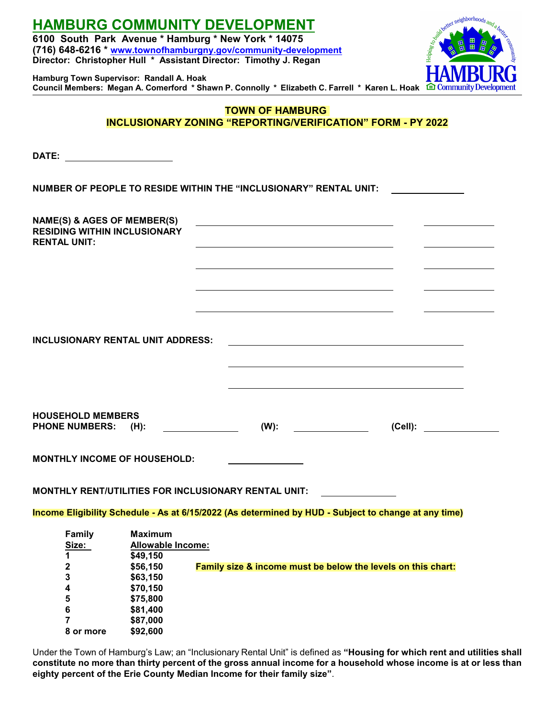| <b>HAMBURG COMMUNITY DEVELOPMENT</b><br>6100 South Park Avenue * Hamburg * New York * 14075<br>(716) 648-6216 * www.townofhamburgny.gov/community-development<br>Director: Christopher Hull * Assistant Director: Timothy J. Regan | ster neighborhoods and<br>community                                                             |                                                                                                                               |         |  |  |
|------------------------------------------------------------------------------------------------------------------------------------------------------------------------------------------------------------------------------------|-------------------------------------------------------------------------------------------------|-------------------------------------------------------------------------------------------------------------------------------|---------|--|--|
| Hamburg Town Supervisor: Randall A. Hoak                                                                                                                                                                                           |                                                                                                 | Council Members: Megan A. Comerford * Shawn P. Connolly * Elizabeth C. Farrell * Karen L. Hoak <sup>1</sup> Community Develop |         |  |  |
| <b>TOWN OF HAMBURG</b><br><b>INCLUSIONARY ZONING "REPORTING/VERIFICATION" FORM - PY 2022</b>                                                                                                                                       |                                                                                                 |                                                                                                                               |         |  |  |
| DATE:<br><u>and the companion of the companion of</u>                                                                                                                                                                              |                                                                                                 |                                                                                                                               |         |  |  |
|                                                                                                                                                                                                                                    |                                                                                                 | NUMBER OF PEOPLE TO RESIDE WITHIN THE "INCLUSIONARY" RENTAL UNIT:                                                             |         |  |  |
| NAME(S) & AGES OF MEMBER(S)<br><b>RESIDING WITHIN INCLUSIONARY</b><br><b>RENTAL UNIT:</b>                                                                                                                                          |                                                                                                 |                                                                                                                               |         |  |  |
|                                                                                                                                                                                                                                    |                                                                                                 |                                                                                                                               |         |  |  |
|                                                                                                                                                                                                                                    |                                                                                                 |                                                                                                                               |         |  |  |
| <b>INCLUSIONARY RENTAL UNIT ADDRESS:</b>                                                                                                                                                                                           |                                                                                                 |                                                                                                                               |         |  |  |
| <b>HOUSEHOLD MEMBERS</b><br><b>PHONE NUMBERS:</b>                                                                                                                                                                                  | $(H)$ :                                                                                         | $(W)$ :                                                                                                                       | (Cell): |  |  |
| <b>MONTHLY INCOME OF HOUSEHOLD:</b>                                                                                                                                                                                                |                                                                                                 |                                                                                                                               |         |  |  |
|                                                                                                                                                                                                                                    |                                                                                                 | MONTHLY RENT/UTILITIES FOR INCLUSIONARY RENTAL UNIT:                                                                          |         |  |  |
|                                                                                                                                                                                                                                    |                                                                                                 | Income Eligibility Schedule - As at 6/15/2022 (As determined by HUD - Subject to change at any time)                          |         |  |  |
| Family<br>Size:<br>1<br>$\boldsymbol{2}$<br>3<br>4<br>5                                                                                                                                                                            | <b>Maximum</b><br>Allowable Income:<br>\$49,150<br>\$56,150<br>\$63,150<br>\$70,150<br>\$75,800 | Family size & income must be below the levels on this chart:                                                                  |         |  |  |
| 6<br>7<br>8 or more                                                                                                                                                                                                                | \$81,400<br>\$87,000<br>\$92,600                                                                |                                                                                                                               |         |  |  |

Under the Town of Hamburg's Law; an "Inclusionary Rental Unit" is defined as **"Housing for which rent and utilities shall constitute no more than thirty percent of the gross annual income for a household whose income is at or less than eighty percent of the Erie County Median Income for their family size"**.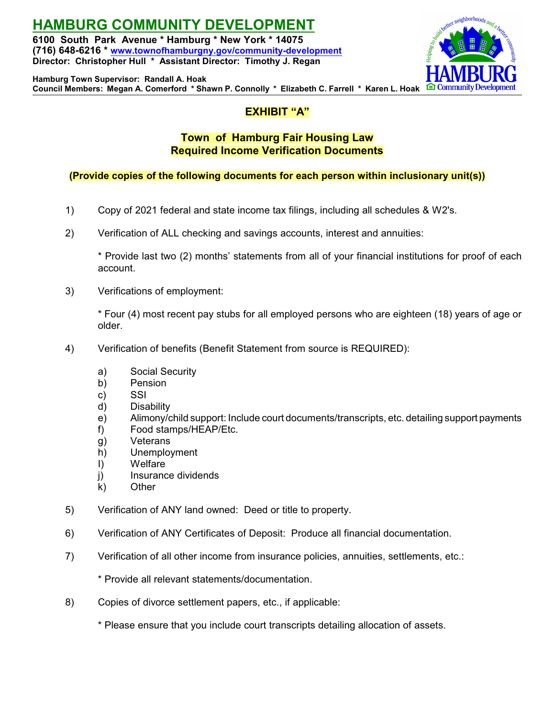**HAMBURG COMMUNITY DEVELOPMENT 6100 South Park Avenue \* Hamburg \* New York \* 14075 (716) 648-6216 \* [www.townofhamburgny.gov/community-development](http://www.townofhamburgny.com/cdbg) Director: Christopher Hull \* Assistant Director: Timothy J. Regan**



**Hamburg Town Supervisor: Randall A. Hoak Council Members: Megan A. Comerford \* Shawn P. Connolly \* Elizabeth C. Farrell \* Karen L. Hoak**

# **EXHIBIT "A"**

# **Town of Hamburg Fair Housing Law Required Income Verification Documents**

## **(Provide copies of the following documents for each person within inclusionary unit(s))**

- 1) Copy of 2021 federal and state income tax filings, including all schedules & W2's.
- 2) Verification of ALL checking and savings accounts, interest and annuities:

\* Provide last two (2) months' statements from all of your financial institutions for proof of each account.

3) Verifications of employment:

\* Four (4) most recent pay stubs for all employed persons who are eighteen (18) years of age or older.

- 4) Verification of benefits (Benefit Statement from source is REQUIRED):
	- a) Social Security
	- b) Pension
	- c) SSI
	- d) Disability
	- e) Alimony/child support: Include court documents/transcripts, etc. detailing support payments
	- f) Food stamps/HEAP/Etc.
	- g) Veterans
	- h) Unemployment
	- I) Welfare
	- j) Insurance dividends
	- k) Other
- 5) Verification of ANY land owned: Deed or title to property.
- 6) Verification of ANY Certificates of Deposit: Produce all financial documentation.
- 7) Verification of all other income from insurance policies, annuities, settlements, etc.:
	- \* Provide all relevant statements/documentation.
- 8) Copies of divorce settlement papers, etc., if applicable:

\* Please ensure that you include court transcripts detailing allocation of assets.